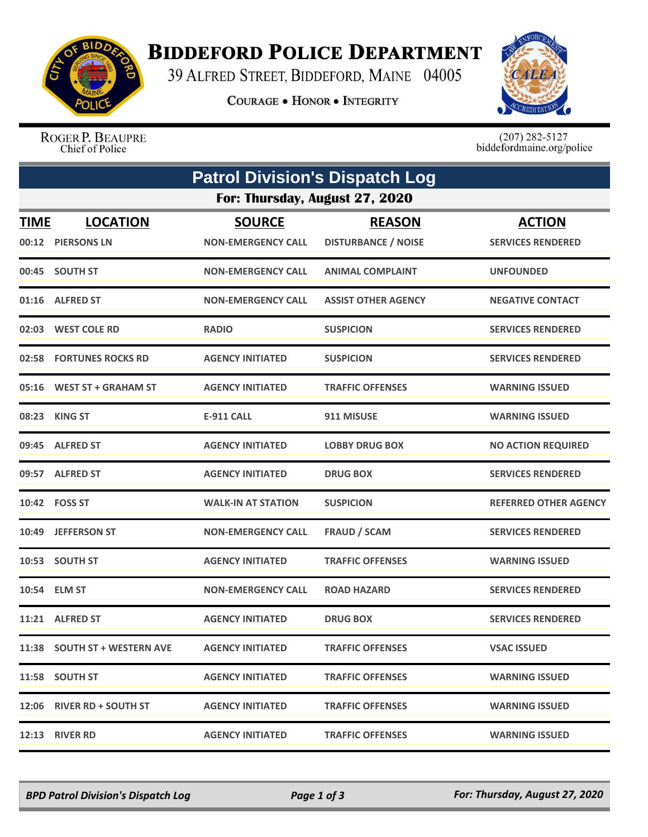

## **BIDDEFORD POLICE DEPARTMENT**

39 ALFRED STREET, BIDDEFORD, MAINE 04005

**COURAGE . HONOR . INTEGRITY** 



ROGER P. BEAUPRE Chief of Police

 $(207)$  282-5127<br>biddefordmaine.org/police

|             | <b>Patrol Division's Dispatch Log</b> |                                            |                                             |                                           |  |  |  |  |
|-------------|---------------------------------------|--------------------------------------------|---------------------------------------------|-------------------------------------------|--|--|--|--|
|             | For: Thursday, August 27, 2020        |                                            |                                             |                                           |  |  |  |  |
| <u>TIME</u> | <b>LOCATION</b><br>00:12 PIERSONS LN  | <b>SOURCE</b><br><b>NON-EMERGENCY CALL</b> | <b>REASON</b><br><b>DISTURBANCE / NOISE</b> | <b>ACTION</b><br><b>SERVICES RENDERED</b> |  |  |  |  |
|             | 00:45 SOUTH ST                        | <b>NON-EMERGENCY CALL</b>                  | <b>ANIMAL COMPLAINT</b>                     | <b>UNFOUNDED</b>                          |  |  |  |  |
|             | 01:16 ALFRED ST                       | <b>NON-EMERGENCY CALL</b>                  | <b>ASSIST OTHER AGENCY</b>                  | <b>NEGATIVE CONTACT</b>                   |  |  |  |  |
|             | 02:03 WEST COLE RD                    | <b>RADIO</b>                               | <b>SUSPICION</b>                            | <b>SERVICES RENDERED</b>                  |  |  |  |  |
|             | 02:58 FORTUNES ROCKS RD               | <b>AGENCY INITIATED</b>                    | <b>SUSPICION</b>                            | <b>SERVICES RENDERED</b>                  |  |  |  |  |
|             | 05:16 WEST ST + GRAHAM ST             | <b>AGENCY INITIATED</b>                    | <b>TRAFFIC OFFENSES</b>                     | <b>WARNING ISSUED</b>                     |  |  |  |  |
|             | 08:23 KING ST                         | <b>E-911 CALL</b>                          | 911 MISUSE                                  | <b>WARNING ISSUED</b>                     |  |  |  |  |
|             | 09:45 ALFRED ST                       | <b>AGENCY INITIATED</b>                    | <b>LOBBY DRUG BOX</b>                       | <b>NO ACTION REQUIRED</b>                 |  |  |  |  |
|             | 09:57 ALFRED ST                       | <b>AGENCY INITIATED</b>                    | <b>DRUG BOX</b>                             | <b>SERVICES RENDERED</b>                  |  |  |  |  |
|             | 10:42 FOSS ST                         | <b>WALK-IN AT STATION</b>                  | <b>SUSPICION</b>                            | REFERRED OTHER AGENCY                     |  |  |  |  |
|             | 10:49 JEFFERSON ST                    | <b>NON-EMERGENCY CALL</b>                  | <b>FRAUD / SCAM</b>                         | <b>SERVICES RENDERED</b>                  |  |  |  |  |
|             | 10:53 SOUTH ST                        | <b>AGENCY INITIATED</b>                    | <b>TRAFFIC OFFENSES</b>                     | <b>WARNING ISSUED</b>                     |  |  |  |  |
|             | 10:54 ELM ST                          | <b>NON-EMERGENCY CALL</b>                  | <b>ROAD HAZARD</b>                          | <b>SERVICES RENDERED</b>                  |  |  |  |  |
|             | 11:21 ALFRED ST                       | <b>AGENCY INITIATED</b>                    | <b>DRUG BOX</b>                             | <b>SERVICES RENDERED</b>                  |  |  |  |  |
|             | 11:38 SOUTH ST + WESTERN AVE          | <b>AGENCY INITIATED</b>                    | <b>TRAFFIC OFFENSES</b>                     | <b>VSAC ISSUED</b>                        |  |  |  |  |
|             | 11:58 SOUTH ST                        | <b>AGENCY INITIATED</b>                    | <b>TRAFFIC OFFENSES</b>                     | <b>WARNING ISSUED</b>                     |  |  |  |  |
|             | 12:06 RIVER RD + SOUTH ST             | <b>AGENCY INITIATED</b>                    | <b>TRAFFIC OFFENSES</b>                     | <b>WARNING ISSUED</b>                     |  |  |  |  |
|             | <b>12:13 RIVER RD</b>                 | <b>AGENCY INITIATED</b>                    | <b>TRAFFIC OFFENSES</b>                     | <b>WARNING ISSUED</b>                     |  |  |  |  |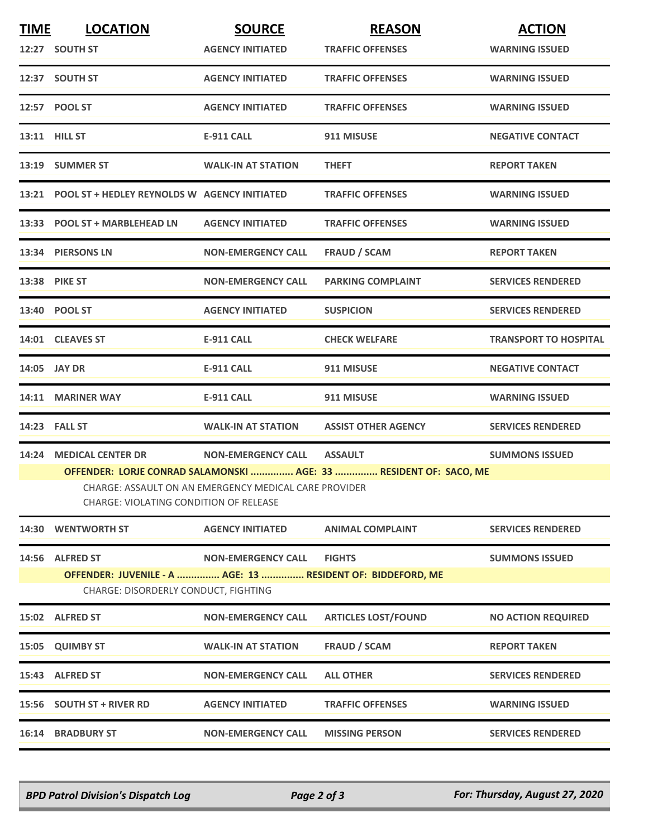| <b>TIME</b>  | <b>LOCATION</b>                                                                                        | <b>SOURCE</b>             | <b>REASON</b>                                                     | <b>ACTION</b>                |  |  |
|--------------|--------------------------------------------------------------------------------------------------------|---------------------------|-------------------------------------------------------------------|------------------------------|--|--|
|              | 12:27 SOUTH ST                                                                                         | <b>AGENCY INITIATED</b>   | <b>TRAFFIC OFFENSES</b>                                           | <b>WARNING ISSUED</b>        |  |  |
|              | 12:37 SOUTH ST                                                                                         | <b>AGENCY INITIATED</b>   | <b>TRAFFIC OFFENSES</b>                                           | <b>WARNING ISSUED</b>        |  |  |
|              | 12:57 POOL ST                                                                                          | <b>AGENCY INITIATED</b>   | <b>TRAFFIC OFFENSES</b>                                           | <b>WARNING ISSUED</b>        |  |  |
|              | <b>13:11 HILL ST</b>                                                                                   | <b>E-911 CALL</b>         | 911 MISUSE                                                        | <b>NEGATIVE CONTACT</b>      |  |  |
|              | 13:19 SUMMER ST                                                                                        | <b>WALK-IN AT STATION</b> | <b>THEFT</b>                                                      | <b>REPORT TAKEN</b>          |  |  |
|              | 13:21 POOL ST + HEDLEY REYNOLDS W AGENCY INITIATED                                                     |                           | <b>TRAFFIC OFFENSES</b>                                           | <b>WARNING ISSUED</b>        |  |  |
|              | 13:33 POOL ST + MARBLEHEAD LN                                                                          | <b>AGENCY INITIATED</b>   | <b>TRAFFIC OFFENSES</b>                                           | <b>WARNING ISSUED</b>        |  |  |
|              | 13:34 PIERSONS LN                                                                                      | <b>NON-EMERGENCY CALL</b> | <b>FRAUD / SCAM</b>                                               | <b>REPORT TAKEN</b>          |  |  |
|              | 13:38 PIKE ST                                                                                          | <b>NON-EMERGENCY CALL</b> | <b>PARKING COMPLAINT</b>                                          | <b>SERVICES RENDERED</b>     |  |  |
|              | 13:40 POOL ST                                                                                          | <b>AGENCY INITIATED</b>   | <b>SUSPICION</b>                                                  | <b>SERVICES RENDERED</b>     |  |  |
|              | 14:01 CLEAVES ST                                                                                       | E-911 CALL                | <b>CHECK WELFARE</b>                                              | <b>TRANSPORT TO HOSPITAL</b> |  |  |
| 14:05 JAY DR |                                                                                                        | <b>E-911 CALL</b>         | 911 MISUSE                                                        | <b>NEGATIVE CONTACT</b>      |  |  |
|              | 14:11 MARINER WAY                                                                                      | <b>E-911 CALL</b>         | 911 MISUSE                                                        | <b>WARNING ISSUED</b>        |  |  |
|              | <b>14:23 FALL ST</b>                                                                                   | <b>WALK-IN AT STATION</b> | <b>ASSIST OTHER AGENCY</b>                                        | <b>SERVICES RENDERED</b>     |  |  |
|              | 14:24 MEDICAL CENTER DR                                                                                | <b>NON-EMERGENCY CALL</b> | <b>ASSAULT</b>                                                    | <b>SUMMONS ISSUED</b>        |  |  |
|              |                                                                                                        |                           | OFFENDER: LORJE CONRAD SALAMONSKI  AGE: 33  RESIDENT OF: SACO, ME |                              |  |  |
|              | CHARGE: ASSAULT ON AN EMERGENCY MEDICAL CARE PROVIDER<br><b>CHARGE: VIOLATING CONDITION OF RELEASE</b> |                           |                                                                   |                              |  |  |
|              | 14:30 WENTWORTH ST                                                                                     | <b>AGENCY INITIATED</b>   | <b>ANIMAL COMPLAINT</b>                                           | <b>SERVICES RENDERED</b>     |  |  |
|              | 14:56 ALFRED ST                                                                                        | <b>NON-EMERGENCY CALL</b> | <b>FIGHTS</b>                                                     | <b>SUMMONS ISSUED</b>        |  |  |
|              | OFFENDER: JUVENILE - A  AGE: 13  RESIDENT OF: BIDDEFORD, ME                                            |                           |                                                                   |                              |  |  |
|              | CHARGE: DISORDERLY CONDUCT, FIGHTING                                                                   |                           |                                                                   |                              |  |  |
|              | 15:02 ALFRED ST                                                                                        | <b>NON-EMERGENCY CALL</b> | <b>ARTICLES LOST/FOUND</b>                                        | <b>NO ACTION REQUIRED</b>    |  |  |
|              | 15:05 QUIMBY ST                                                                                        | <b>WALK-IN AT STATION</b> | <b>FRAUD / SCAM</b>                                               | <b>REPORT TAKEN</b>          |  |  |
|              | 15:43 ALFRED ST                                                                                        | <b>NON-EMERGENCY CALL</b> | <b>ALL OTHER</b>                                                  | <b>SERVICES RENDERED</b>     |  |  |
|              | 15:56 SOUTH ST + RIVER RD                                                                              | <b>AGENCY INITIATED</b>   | <b>TRAFFIC OFFENSES</b>                                           | <b>WARNING ISSUED</b>        |  |  |
|              | <b>16:14 BRADBURY ST</b>                                                                               | <b>NON-EMERGENCY CALL</b> | <b>MISSING PERSON</b>                                             | <b>SERVICES RENDERED</b>     |  |  |

*BPD Patrol Division's Dispatch Log Page 2 of 3 For: Thursday, August 27, 2020*